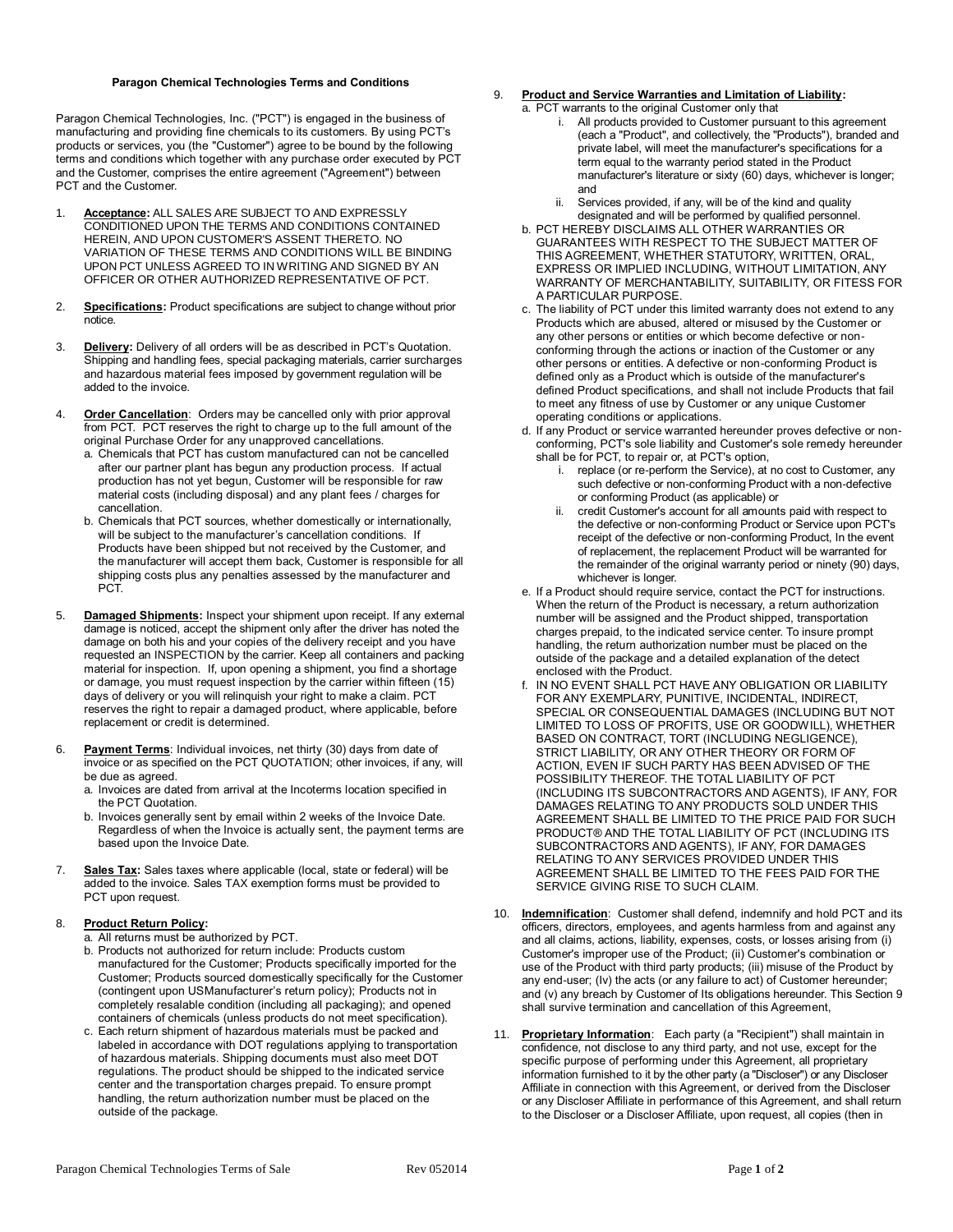## **Paragon Chemical Technologies Terms and Conditions**

Paragon Chemical Technologies, Inc. ("PCT") is engaged in the business of manufacturing and providing fine chemicals to its customers. By using PCT's products or services, you (the "Customer") agree to be bound by the following terms and conditions which together with any purchase order executed by PCT and the Customer, comprises the entire agreement ("Agreement") between PCT and the Customer.

- 1. **Acceptance:** ALL SALES ARE SUBJECT TO AND EXPRESSLY CONDITIONED UPON THE TERMS AND CONDITIONS CONTAINED HEREIN, AND UPON CUSTOMER'S ASSENT THERETO. NO VARIATION OF THESE TERMS AND CONDITIONS WILL BE BINDING UPON PCT UNLESS AGREED TO IN WRITING AND SIGNED BY AN OFFICER OR OTHER AUTHORIZED REPRESENTATIVE OF PCT.
- 2. **Specifications:** Product specifications are subject to change without prior notice.
- 3. **Delivery:** Delivery of all orders will be as described in PCT's Quotation. Shipping and handling fees, special packaging materials, carrier surcharges and hazardous material fees imposed by government regulation will be added to the invoice.
- 4. **Order Cancellation**: Orders may be cancelled only with prior approval from PCT. PCT reserves the right to charge up to the full amount of the original Purchase Order for any unapproved cancellations.
	- a. Chemicals that PCT has custom manufactured can not be cancelled after our partner plant has begun any production process. If actual production has not yet begun, Customer will be responsible for raw material costs (including disposal) and any plant fees / charges for cancellation.
	- b. Chemicals that PCT sources, whether domestically or internationally, will be subject to the manufacturer's cancellation conditions. If Products have been shipped but not received by the Customer, and the manufacturer will accept them back, Customer is responsible for all shipping costs plus any penalties assessed by the manufacturer and PCT.
- 5. **Damaged Shipments:** Inspect your shipment upon receipt. If any external damage is noticed, accept the shipment only after the driver has noted the damage on both his and your copies of the delivery receipt and you have requested an INSPECTION by the carrier. Keep all containers and packing material for inspection. If, upon opening a shipment, you find a shortage or damage, you must request inspection by the carrier within fifteen (15) days of delivery or you will relinquish your right to make a claim. PCT reserves the right to repair a damaged product, where applicable, before replacement or credit is determined.
- 6. **Payment Terms**: Individual invoices, net thirty (30) days from date of invoice or as specified on the PCT QUOTATION; other invoices, if any, will be due as agreed.
	- a. Invoices are dated from arrival at the Incoterms location specified in the PCT Quotation.
	- b. Invoices generally sent by email within 2 weeks of the Invoice Date. Regardless of when the Invoice is actually sent, the payment terms are based upon the Invoice Date.
- 7. **Sales Tax:** Sales taxes where applicable (local, state or federal) will be added to the invoice. Sales TAX exemption forms must be provided to PCT upon request.

## 8. **Product Return Policy:**

- a. All returns must be authorized by PCT.
- b. Products not authorized for return include: Products custom manufactured for the Customer; Products specifically imported for the Customer; Products sourced domestically specifically for the Customer (contingent upon USManufacturer's return policy); Products not in completely resalable condition (including all packaging); and opened containers of chemicals (unless products do not meet specification).
- c. Each return shipment of hazardous materials must be packed and labeled in accordance with DOT regulations applying to transportation of hazardous materials. Shipping documents must also meet DOT regulations. The product should be shipped to the indicated service center and the transportation charges prepaid. To ensure prompt handling, the return authorization number must be placed on the outside of the package.

## **Product and Service Warranties and Limitation of Liability:**

- a. PCT warrants to the original Customer only that i. All products provided to Customer pursuant to this agreement (each a "Product", and collectively, the "Products"), branded and private label, will meet the manufacturer's specifications for a term equal to the warranty period stated in the Product manufacturer's literature or sixty (60) days, whichever is longer; and
	- ii. Services provided, if any, will be of the kind and quality designated and will be performed by qualified personnel.
- b. PCT HEREBY DISCLAIMS ALL OTHER WARRANTIES OR GUARANTEES WITH RESPECT TO THE SUBJECT MATTER OF THIS AGREEMENT, WHETHER STATUTORY, WRITTEN, ORAL, EXPRESS OR IMPLIED INCLUDING, WITHOUT LIMITATION, ANY WARRANTY OF MERCHANTABILITY, SUITABILITY, OR FITESS FOR A PARTICULAR PURPOSE.
- c. The liability of PCT under this limited warranty does not extend to any Products which are abused, altered or misused by the Customer or any other persons or entities or which become defective or nonconforming through the actions or inaction of the Customer or any other persons or entities. A defective or non-conforming Product is defined only as a Product which is outside of the manufacturer's defined Product specifications, and shall not include Products that fail to meet any fitness of use by Customer or any unique Customer operating conditions or applications.
- d. If any Product or service warranted hereunder proves defective or nonconforming, PCT's sole liability and Customer's sole remedy hereunder shall be for PCT, to repair or, at PCT's option,
	- i. replace (or re-perform the Service), at no cost to Customer, any such defective or non-conforming Product with a non-defective or conforming Product (as applicable) or
	- ii. credit Customer's account for all amounts paid with respect to the defective or non-conforming Product or Service upon PCT's receipt of the defective or non-conforming Product, In the event of replacement, the replacement Product will be warranted for the remainder of the original warranty period or ninety (90) days, whichever is longer.
- e. If a Product should require service, contact the PCT for instructions. When the return of the Product is necessary, a return authorization number will be assigned and the Product shipped, transportation charges prepaid, to the indicated service center. To insure prompt handling, the return authorization number must be placed on the outside of the package and a detailed explanation of the detect enclosed with the Product.
- f. IN NO EVENT SHALL PCT HAVE ANY OBLIGATION OR LIABILITY FOR ANY EXEMPLARY, PUNITIVE, INCIDENTAL, INDIRECT, SPECIAL OR CONSEQUENTIAL DAMAGES (INCLUDING BUT NOT LIMITED TO LOSS OF PROFITS, USE OR GOODWILL), WHETHER BASED ON CONTRACT, TORT (INCLUDING NEGLIGENCE), STRICT LIABILITY, OR ANY OTHER THEORY OR FORM OF ACTION, EVEN IF SUCH PARTY HAS BEEN ADVISED OF THE POSSIBILITY THEREOF. THE TOTAL LIABILITY OF PCT (INCLUDING ITS SUBCONTRACTORS AND AGENTS), IF ANY, FOR DAMAGES RELATING TO ANY PRODUCTS SOLD UNDER THIS AGREEMENT SHALL BE LIMITED TO THE PRICE PAID FOR SUCH PRODUCT® AND THE TOTAL LIABILITY OF PCT (INCLUDING ITS SUBCONTRACTORS AND AGENTS), IF ANY, FOR DAMAGES RELATING TO ANY SERVICES PROVIDED UNDER THIS AGREEMENT SHALL BE LIMITED TO THE FEES PAID FOR THE SERVICE GIVING RISE TO SUCH CLAIM.
- 10. **Indemnification**: Customer shall defend, indemnify and hold PCT and its officers, directors, employees, and agents harmless from and against any and all claims, actions, liability, expenses, costs, or losses arising from (i) Customer's improper use of the Product; (ii) Customer's combination or use of the Product with third party products; (iii) misuse of the Product by any end-user; (Iv) the acts (or any failure to act) of Customer hereunder; and (v) any breach by Customer of Its obligations hereunder. This Section 9 shall survive termination and cancellation of this Agreement,
- 11. **Proprietary Information**: Each party (a "Recipient") shall maintain in confidence, not disclose to any third party, and not use, except for the specific purpose of performing under this Agreement, all proprietary information furnished to it by the other party (a "Discloser") or any Discloser Affiliate in connection with this Agreement, or derived from the Discloser or any Discloser Affiliate in performance of this Agreement, and shall return to the Discloser or a Discloser Affiliate, upon request, all copies (then in